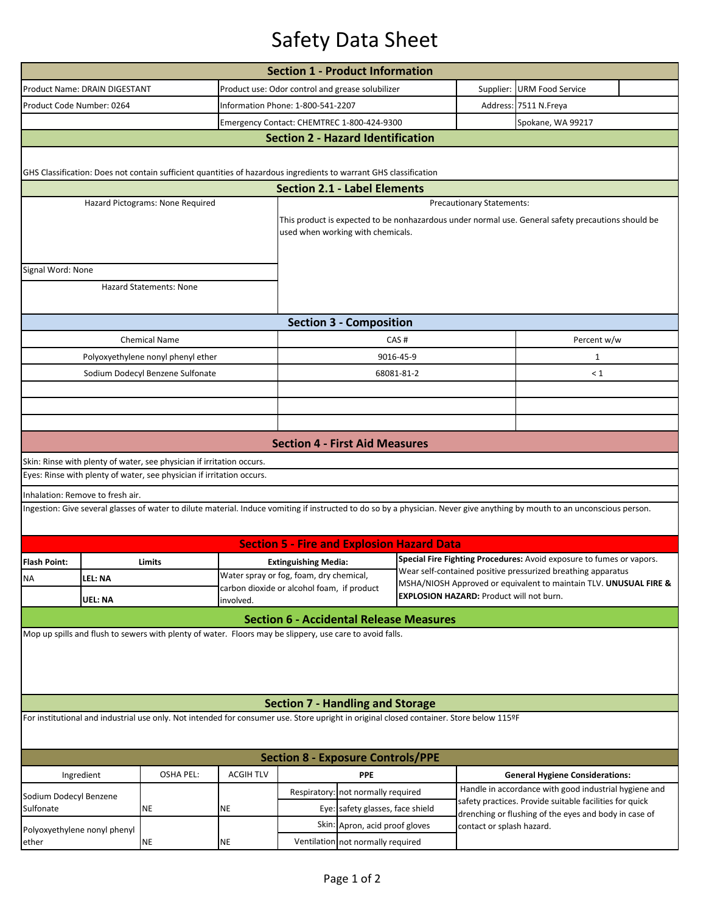## Safety Data Sheet

| <b>Section 1 - Product Information</b>                                                                                                                                             |                |                                                                       |                                                                                                            |                                                                                                                                                                            |                                                                                                                                   |                                                                                                                                                                           |                                        |  |  |  |  |  |
|------------------------------------------------------------------------------------------------------------------------------------------------------------------------------------|----------------|-----------------------------------------------------------------------|------------------------------------------------------------------------------------------------------------|----------------------------------------------------------------------------------------------------------------------------------------------------------------------------|-----------------------------------------------------------------------------------------------------------------------------------|---------------------------------------------------------------------------------------------------------------------------------------------------------------------------|----------------------------------------|--|--|--|--|--|
| Product Name: DRAIN DIGESTANT                                                                                                                                                      |                |                                                                       |                                                                                                            | Product use: Odor control and grease solubilizer                                                                                                                           |                                                                                                                                   |                                                                                                                                                                           | Supplier: URM Food Service             |  |  |  |  |  |
| Product Code Number: 0264                                                                                                                                                          |                |                                                                       |                                                                                                            | Information Phone: 1-800-541-2207                                                                                                                                          |                                                                                                                                   |                                                                                                                                                                           | Address: 7511 N.Freya                  |  |  |  |  |  |
|                                                                                                                                                                                    |                |                                                                       |                                                                                                            | Emergency Contact: CHEMTREC 1-800-424-9300                                                                                                                                 |                                                                                                                                   |                                                                                                                                                                           | Spokane, WA 99217                      |  |  |  |  |  |
| <b>Section 2 - Hazard Identification</b>                                                                                                                                           |                |                                                                       |                                                                                                            |                                                                                                                                                                            |                                                                                                                                   |                                                                                                                                                                           |                                        |  |  |  |  |  |
|                                                                                                                                                                                    |                |                                                                       |                                                                                                            |                                                                                                                                                                            |                                                                                                                                   |                                                                                                                                                                           |                                        |  |  |  |  |  |
| GHS Classification: Does not contain sufficient quantities of hazardous ingredients to warrant GHS classification                                                                  |                |                                                                       |                                                                                                            |                                                                                                                                                                            |                                                                                                                                   |                                                                                                                                                                           |                                        |  |  |  |  |  |
| <b>Section 2.1 - Label Elements</b>                                                                                                                                                |                |                                                                       |                                                                                                            |                                                                                                                                                                            |                                                                                                                                   |                                                                                                                                                                           |                                        |  |  |  |  |  |
|                                                                                                                                                                                    |                | Hazard Pictograms: None Required                                      |                                                                                                            | <b>Precautionary Statements:</b>                                                                                                                                           |                                                                                                                                   |                                                                                                                                                                           |                                        |  |  |  |  |  |
|                                                                                                                                                                                    |                |                                                                       |                                                                                                            | This product is expected to be nonhazardous under normal use. General safety precautions should be                                                                         |                                                                                                                                   |                                                                                                                                                                           |                                        |  |  |  |  |  |
|                                                                                                                                                                                    |                |                                                                       |                                                                                                            | used when working with chemicals.                                                                                                                                          |                                                                                                                                   |                                                                                                                                                                           |                                        |  |  |  |  |  |
|                                                                                                                                                                                    |                |                                                                       |                                                                                                            |                                                                                                                                                                            |                                                                                                                                   |                                                                                                                                                                           |                                        |  |  |  |  |  |
| Signal Word: None                                                                                                                                                                  |                |                                                                       |                                                                                                            |                                                                                                                                                                            |                                                                                                                                   |                                                                                                                                                                           |                                        |  |  |  |  |  |
|                                                                                                                                                                                    |                | <b>Hazard Statements: None</b>                                        |                                                                                                            |                                                                                                                                                                            |                                                                                                                                   |                                                                                                                                                                           |                                        |  |  |  |  |  |
|                                                                                                                                                                                    |                |                                                                       |                                                                                                            |                                                                                                                                                                            |                                                                                                                                   |                                                                                                                                                                           |                                        |  |  |  |  |  |
| <b>Section 3 - Composition</b>                                                                                                                                                     |                |                                                                       |                                                                                                            |                                                                                                                                                                            |                                                                                                                                   |                                                                                                                                                                           |                                        |  |  |  |  |  |
|                                                                                                                                                                                    |                | <b>Chemical Name</b>                                                  |                                                                                                            |                                                                                                                                                                            | CAS#                                                                                                                              |                                                                                                                                                                           | Percent w/w                            |  |  |  |  |  |
|                                                                                                                                                                                    |                | Polyoxyethylene nonyl phenyl ether                                    |                                                                                                            |                                                                                                                                                                            | 9016-45-9                                                                                                                         |                                                                                                                                                                           | $\mathbf 1$                            |  |  |  |  |  |
|                                                                                                                                                                                    |                | Sodium Dodecyl Benzene Sulfonate                                      |                                                                                                            |                                                                                                                                                                            | 68081-81-2                                                                                                                        |                                                                                                                                                                           | $\leq 1$                               |  |  |  |  |  |
|                                                                                                                                                                                    |                |                                                                       |                                                                                                            |                                                                                                                                                                            |                                                                                                                                   |                                                                                                                                                                           |                                        |  |  |  |  |  |
|                                                                                                                                                                                    |                |                                                                       |                                                                                                            |                                                                                                                                                                            |                                                                                                                                   |                                                                                                                                                                           |                                        |  |  |  |  |  |
|                                                                                                                                                                                    |                |                                                                       |                                                                                                            |                                                                                                                                                                            |                                                                                                                                   |                                                                                                                                                                           |                                        |  |  |  |  |  |
|                                                                                                                                                                                    |                |                                                                       |                                                                                                            | <b>Section 4 - First Aid Measures</b>                                                                                                                                      |                                                                                                                                   |                                                                                                                                                                           |                                        |  |  |  |  |  |
|                                                                                                                                                                                    |                | Skin: Rinse with plenty of water, see physician if irritation occurs. |                                                                                                            |                                                                                                                                                                            |                                                                                                                                   |                                                                                                                                                                           |                                        |  |  |  |  |  |
|                                                                                                                                                                                    |                | Eyes: Rinse with plenty of water, see physician if irritation occurs. |                                                                                                            |                                                                                                                                                                            |                                                                                                                                   |                                                                                                                                                                           |                                        |  |  |  |  |  |
| Inhalation: Remove to fresh air.                                                                                                                                                   |                |                                                                       |                                                                                                            |                                                                                                                                                                            |                                                                                                                                   |                                                                                                                                                                           |                                        |  |  |  |  |  |
|                                                                                                                                                                                    |                |                                                                       |                                                                                                            | Ingestion: Give several glasses of water to dilute material. Induce vomiting if instructed to do so by a physician. Never give anything by mouth to an unconscious person. |                                                                                                                                   |                                                                                                                                                                           |                                        |  |  |  |  |  |
|                                                                                                                                                                                    |                |                                                                       |                                                                                                            |                                                                                                                                                                            |                                                                                                                                   |                                                                                                                                                                           |                                        |  |  |  |  |  |
|                                                                                                                                                                                    |                |                                                                       |                                                                                                            | <b>Section 5 - Fire and Explosion Hazard Data</b>                                                                                                                          |                                                                                                                                   |                                                                                                                                                                           |                                        |  |  |  |  |  |
| <b>Flash Point:</b>                                                                                                                                                                |                | Limits                                                                |                                                                                                            | <b>Extinguishing Media:</b>                                                                                                                                                |                                                                                                                                   | Special Fire Fighting Procedures: Avoid exposure to fumes or vapors.                                                                                                      |                                        |  |  |  |  |  |
| <b>NA</b>                                                                                                                                                                          | <b>LEL: NA</b> |                                                                       |                                                                                                            | Water spray or fog, foam, dry chemical,                                                                                                                                    | Wear self-contained positive pressurized breathing apparatus<br>MSHA/NIOSH Approved or equivalent to maintain TLV. UNUSUAL FIRE & |                                                                                                                                                                           |                                        |  |  |  |  |  |
|                                                                                                                                                                                    | <b>UEL: NA</b> |                                                                       | carbon dioxide or alcohol foam, if product<br><b>EXPLOSION HAZARD: Product will not burn.</b><br>involved. |                                                                                                                                                                            |                                                                                                                                   |                                                                                                                                                                           |                                        |  |  |  |  |  |
|                                                                                                                                                                                    |                |                                                                       |                                                                                                            | <b>Section 6 - Accidental Release Measures</b>                                                                                                                             |                                                                                                                                   |                                                                                                                                                                           |                                        |  |  |  |  |  |
|                                                                                                                                                                                    |                |                                                                       |                                                                                                            | Mop up spills and flush to sewers with plenty of water. Floors may be slippery, use care to avoid falls.                                                                   |                                                                                                                                   |                                                                                                                                                                           |                                        |  |  |  |  |  |
|                                                                                                                                                                                    |                |                                                                       |                                                                                                            |                                                                                                                                                                            |                                                                                                                                   |                                                                                                                                                                           |                                        |  |  |  |  |  |
|                                                                                                                                                                                    |                |                                                                       |                                                                                                            |                                                                                                                                                                            |                                                                                                                                   |                                                                                                                                                                           |                                        |  |  |  |  |  |
|                                                                                                                                                                                    |                |                                                                       |                                                                                                            |                                                                                                                                                                            |                                                                                                                                   |                                                                                                                                                                           |                                        |  |  |  |  |  |
|                                                                                                                                                                                    |                |                                                                       |                                                                                                            |                                                                                                                                                                            |                                                                                                                                   |                                                                                                                                                                           |                                        |  |  |  |  |  |
| <b>Section 7 - Handling and Storage</b><br>For institutional and industrial use only. Not intended for consumer use. Store upright in original closed container. Store below 115ºF |                |                                                                       |                                                                                                            |                                                                                                                                                                            |                                                                                                                                   |                                                                                                                                                                           |                                        |  |  |  |  |  |
|                                                                                                                                                                                    |                |                                                                       |                                                                                                            |                                                                                                                                                                            |                                                                                                                                   |                                                                                                                                                                           |                                        |  |  |  |  |  |
|                                                                                                                                                                                    |                |                                                                       |                                                                                                            |                                                                                                                                                                            |                                                                                                                                   |                                                                                                                                                                           |                                        |  |  |  |  |  |
|                                                                                                                                                                                    |                |                                                                       |                                                                                                            | <b>Section 8 - Exposure Controls/PPE</b>                                                                                                                                   |                                                                                                                                   |                                                                                                                                                                           |                                        |  |  |  |  |  |
| Ingredient                                                                                                                                                                         |                | <b>OSHA PEL:</b>                                                      | <b>ACGIH TLV</b>                                                                                           | <b>PPE</b>                                                                                                                                                                 |                                                                                                                                   |                                                                                                                                                                           | <b>General Hygiene Considerations:</b> |  |  |  |  |  |
| Sodium Dodecyl Benzene<br>Sulfonate                                                                                                                                                |                |                                                                       |                                                                                                            | not normally required<br>Respiratory:                                                                                                                                      |                                                                                                                                   | Handle in accordance with good industrial hygiene and<br>safety practices. Provide suitable facilities for quick<br>drenching or flushing of the eyes and body in case of |                                        |  |  |  |  |  |
|                                                                                                                                                                                    |                | ΝE                                                                    | ΝE                                                                                                         | Eye: safety glasses, face shield                                                                                                                                           |                                                                                                                                   |                                                                                                                                                                           |                                        |  |  |  |  |  |
| Polyoxyethylene nonyl phenyl<br>ether                                                                                                                                              |                |                                                                       |                                                                                                            | Skin: Apron, acid proof gloves                                                                                                                                             |                                                                                                                                   | contact or splash hazard.                                                                                                                                                 |                                        |  |  |  |  |  |
|                                                                                                                                                                                    |                | NE                                                                    | ΝE                                                                                                         | Ventilation not normally required                                                                                                                                          |                                                                                                                                   |                                                                                                                                                                           |                                        |  |  |  |  |  |